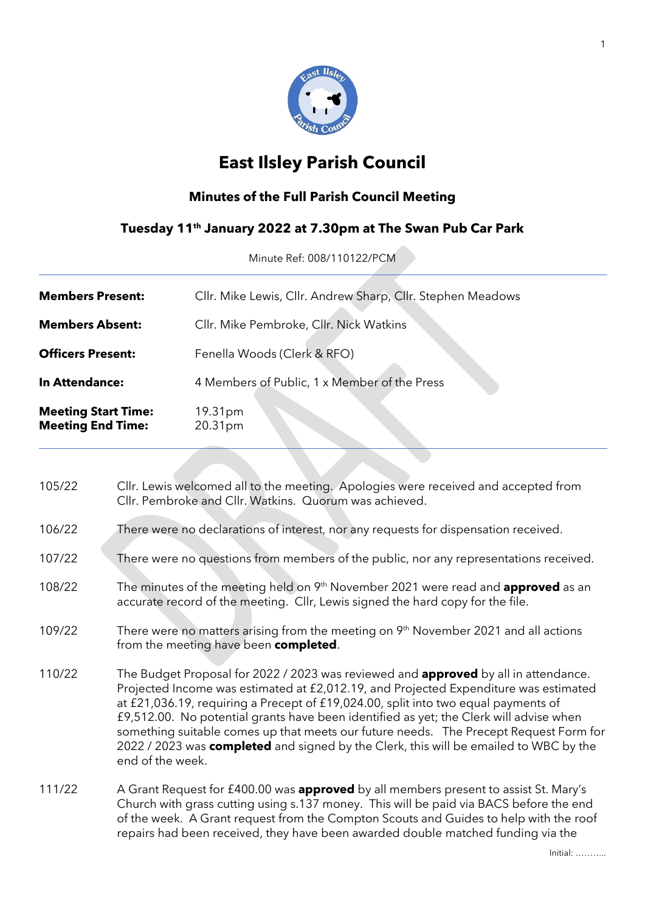

## **East Ilsley Parish Council**

## **Minutes of the Full Parish Council Meeting**

## **Tuesday 11th January 2022 at 7.30pm at The Swan Pub Car Park**

Minute Ref: 008/110122/PCM

| <b>Members Present:</b>                                | Cllr. Mike Lewis, Cllr. Andrew Sharp, Cllr. Stephen Meadows |  |  |  |  |
|--------------------------------------------------------|-------------------------------------------------------------|--|--|--|--|
| <b>Members Absent:</b>                                 | Cllr. Mike Pembroke, Cllr. Nick Watkins                     |  |  |  |  |
| <b>Officers Present:</b>                               | Fenella Woods (Clerk & RFO)                                 |  |  |  |  |
| <b>In Attendance:</b>                                  | 4 Members of Public, 1 x Member of the Press                |  |  |  |  |
| <b>Meeting Start Time:</b><br><b>Meeting End Time:</b> | 19.31pm<br>20.31pm                                          |  |  |  |  |

| 105/22 | Cllr. Lewis welcomed all to the meeting. Apologies were received and accepted from<br>Cllr. Pembroke and Cllr. Watkins. Quorum was achieved.                                                                                                                                                                                                                                                                                                                                                                                                                             |
|--------|--------------------------------------------------------------------------------------------------------------------------------------------------------------------------------------------------------------------------------------------------------------------------------------------------------------------------------------------------------------------------------------------------------------------------------------------------------------------------------------------------------------------------------------------------------------------------|
| 106/22 | There were no declarations of interest, nor any requests for dispensation received.                                                                                                                                                                                                                                                                                                                                                                                                                                                                                      |
| 107/22 | There were no questions from members of the public, nor any representations received.                                                                                                                                                                                                                                                                                                                                                                                                                                                                                    |
| 108/22 | The minutes of the meeting held on 9 <sup>th</sup> November 2021 were read and <b>approved</b> as an<br>accurate record of the meeting. Cllr, Lewis signed the hard copy for the file.                                                                                                                                                                                                                                                                                                                                                                                   |
| 109/22 | There were no matters arising from the meeting on 9 <sup>th</sup> November 2021 and all actions<br>from the meeting have been completed.                                                                                                                                                                                                                                                                                                                                                                                                                                 |
| 110/22 | The Budget Proposal for 2022 / 2023 was reviewed and <b>approved</b> by all in attendance.<br>Projected Income was estimated at £2,012.19, and Projected Expenditure was estimated<br>at £21,036.19, requiring a Precept of £19,024.00, split into two equal payments of<br>£9,512.00. No potential grants have been identified as yet; the Clerk will advise when<br>something suitable comes up that meets our future needs. The Precept Request Form for<br>2022 / 2023 was completed and signed by the Clerk, this will be emailed to WBC by the<br>end of the week. |
| 111/22 | A Grant Request for £400.00 was approved by all members present to assist St. Mary's<br>Church with grass cutting using s.137 money. This will be paid via BACS before the end<br>of the week. A Grant request from the Compton Scouts and Guides to help with the roof<br>repairs had been received, they have been awarded double matched funding via the                                                                                                                                                                                                              |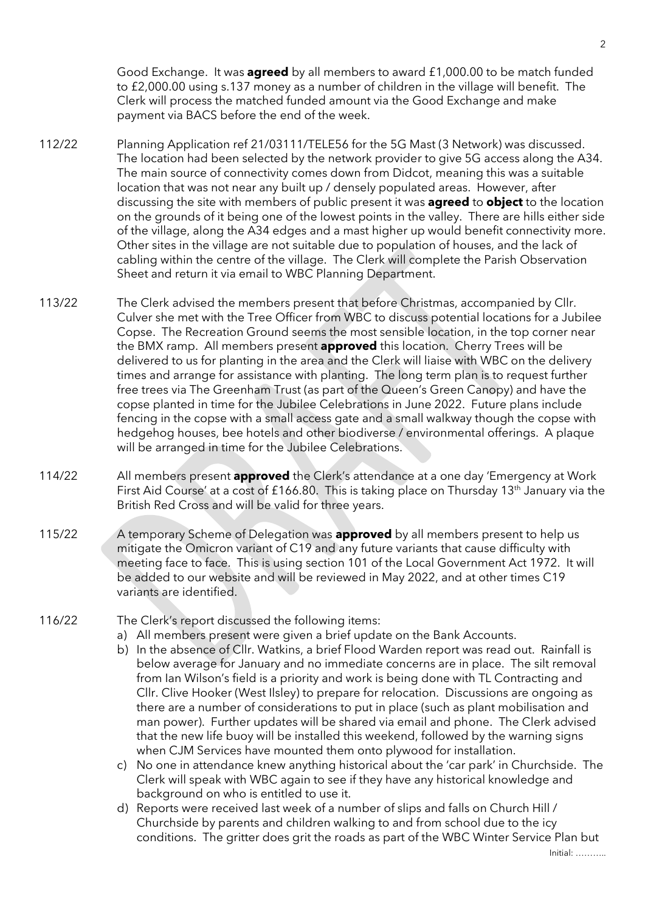Good Exchange. It was **agreed** by all members to award £1,000.00 to be match funded to £2,000.00 using s.137 money as a number of children in the village will benefit. The Clerk will process the matched funded amount via the Good Exchange and make payment via BACS before the end of the week.

- 112/22 Planning Application ref 21/03111/TELE56 for the 5G Mast (3 Network) was discussed. The location had been selected by the network provider to give 5G access along the A34. The main source of connectivity comes down from Didcot, meaning this was a suitable location that was not near any built up / densely populated areas. However, after discussing the site with members of public present it was **agreed** to **object** to the location on the grounds of it being one of the lowest points in the valley. There are hills either side of the village, along the A34 edges and a mast higher up would benefit connectivity more. Other sites in the village are not suitable due to population of houses, and the lack of cabling within the centre of the village. The Clerk will complete the Parish Observation Sheet and return it via email to WBC Planning Department.
- 113/22 The Clerk advised the members present that before Christmas, accompanied by Cllr. Culver she met with the Tree Officer from WBC to discuss potential locations for a Jubilee Copse. The Recreation Ground seems the most sensible location, in the top corner near the BMX ramp. All members present **approved** this location. Cherry Trees will be delivered to us for planting in the area and the Clerk will liaise with WBC on the delivery times and arrange for assistance with planting. The long term plan is to request further free trees via The Greenham Trust (as part of the Queen's Green Canopy) and have the copse planted in time for the Jubilee Celebrations in June 2022. Future plans include fencing in the copse with a small access gate and a small walkway though the copse with hedgehog houses, bee hotels and other biodiverse / environmental offerings. A plaque will be arranged in time for the Jubilee Celebrations.
- 114/22 All members present **approved** the Clerk's attendance at a one day 'Emergency at Work First Aid Course' at a cost of £166.80. This is taking place on Thursday 13<sup>th</sup> January via the British Red Cross and will be valid for three years.
- 115/22 A temporary Scheme of Delegation was **approved** by all members present to help us mitigate the Omicron variant of C19 and any future variants that cause difficulty with meeting face to face. This is using section 101 of the Local Government Act 1972. It will be added to our website and will be reviewed in May 2022, and at other times C19 variants are identified.
- 

116/22 The Clerk's report discussed the following items:

- a) All members present were given a brief update on the Bank Accounts.
- b) In the absence of Cllr. Watkins, a brief Flood Warden report was read out. Rainfall is below average for January and no immediate concerns are in place. The silt removal from Ian Wilson's field is a priority and work is being done with TL Contracting and Cllr. Clive Hooker (West Ilsley) to prepare for relocation. Discussions are ongoing as there are a number of considerations to put in place (such as plant mobilisation and man power). Further updates will be shared via email and phone. The Clerk advised that the new life buoy will be installed this weekend, followed by the warning signs when CJM Services have mounted them onto plywood for installation.
- c) No one in attendance knew anything historical about the 'car park' in Churchside. The Clerk will speak with WBC again to see if they have any historical knowledge and background on who is entitled to use it.
- d) Reports were received last week of a number of slips and falls on Church Hill / Churchside by parents and children walking to and from school due to the icy conditions. The gritter does grit the roads as part of the WBC Winter Service Plan but